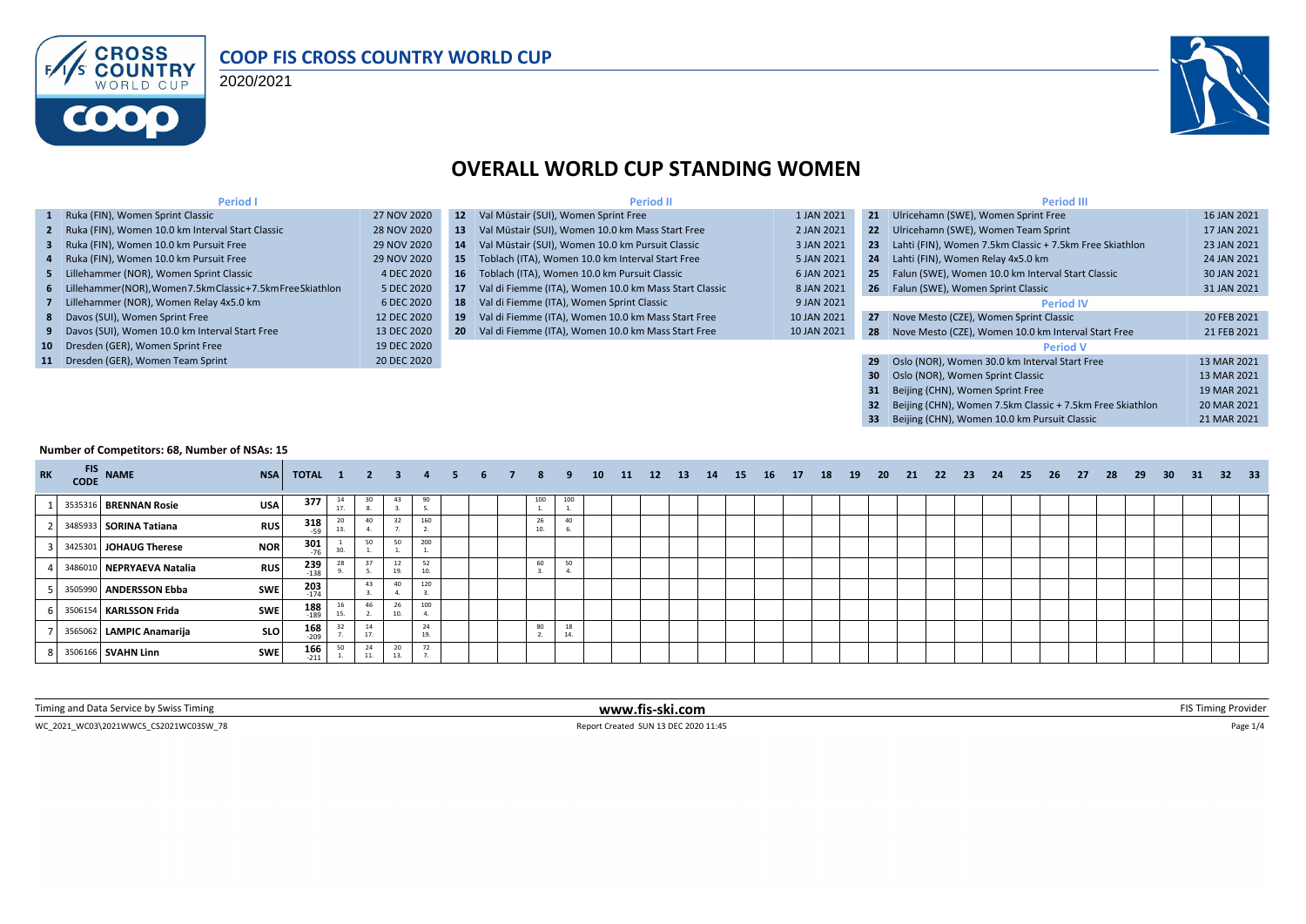

#### **COOP FIS CROSS COUNTRY WORLD CUP**

2020/2021



**32** Beijing (CHN), Women 7.5km Classic + 7.5km Free Skiathlon 20 MAR 2021<br>**33** Beijing (CHN), Women 10.0 km Pursuit Classic 2051 21 MAR 2021

**33** Beijing (CHN), Women 10.0 km Pursuit Classic

### **OVERALL WORLD CUP STANDING WOMEN**

| <b>Period I</b>                                                |             |                 | <b>Period II</b>                                      |             |     | <b>Period III</b>                                         |             |
|----------------------------------------------------------------|-------------|-----------------|-------------------------------------------------------|-------------|-----|-----------------------------------------------------------|-------------|
| 1 Ruka (FIN), Women Sprint Classic                             | 27 NOV 2020 | 12 <sup>7</sup> | Val Müstair (SUI), Women Sprint Free                  | 1 JAN 2021  | 21  | Ulricehamn (SWE), Women Sprint Free                       | 16 JAN 2021 |
| 2 Ruka (FIN), Women 10.0 km Interval Start Classic             | 28 NOV 2020 | 13.             | Val Müstair (SUI), Women 10.0 km Mass Start Free      | 2 JAN 2021  |     | 22 Ulricehamn (SWE), Women Team Sprint                    | 17 JAN 2021 |
| 3 Ruka (FIN), Women 10.0 km Pursuit Free                       | 29 NOV 2020 | 14.             | Val Müstair (SUI), Women 10.0 km Pursuit Classic      | 3 JAN 2021  | 23. | Lahti (FIN), Women 7.5km Classic + 7.5km Free Skiathlon   | 23 JAN 2021 |
| 4 Ruka (FIN), Women 10.0 km Pursuit Free                       | 29 NOV 2020 | 15.             | Toblach (ITA), Women 10.0 km Interval Start Free      | 5 JAN 2021  |     | 24 Lahti (FIN), Women Relay 4x5.0 km                      | 24 JAN 2021 |
| 5 Lillehammer (NOR), Women Sprint Classic                      | 4 DEC 2020  |                 | 16 Toblach (ITA), Women 10.0 km Pursuit Classic       | 6 JAN 2021  | 25  | Falun (SWE), Women 10.0 km Interval Start Classic         | 30 JAN 2021 |
| 6 Lillehammer(NOR), Women 7.5km Classic + 7.5km Free Skiathlon | 5 DEC 2020  | 17              | Val di Fiemme (ITA), Women 10.0 km Mass Start Classic | 8 JAN 2021  |     | 26 Falun (SWE), Women Sprint Classic                      | 31 JAN 2021 |
| 7 Lillehammer (NOR), Women Relay 4x5.0 km                      | 6 DEC 2020  | 18              | Val di Fiemme (ITA), Women Sprint Classic             | 9 JAN 2021  |     | <b>Period IV</b>                                          |             |
| 8 Davos (SUI), Women Sprint Free                               | 12 DEC 2020 | 19              | Val di Fiemme (ITA), Women 10.0 km Mass Start Free    | 10 JAN 2021 | 27  | Nove Mesto (CZE), Women Sprint Classic                    | 20 FEB 2021 |
| 9 Davos (SUI), Women 10.0 km Interval Start Free               | 13 DEC 2020 |                 | 20 Val di Fiemme (ITA), Women 10.0 km Mass Start Free | 10 JAN 2021 | 28  | Nove Mesto (CZE), Women 10.0 km Interval Start Free       | 21 FEB 2021 |
| 10 Dresden (GER), Women Sprint Free                            | 19 DEC 2020 |                 |                                                       |             |     | <b>Period V</b>                                           |             |
| 11 Dresden (GER), Women Team Sprint                            | 20 DEC 2020 |                 |                                                       |             | 29  | Oslo (NOR), Women 30.0 km Interval Start Free             | 13 MAR 2021 |
|                                                                |             |                 |                                                       |             | 30  | Oslo (NOR), Women Sprint Classic                          | 13 MAR 2021 |
|                                                                |             |                 |                                                       |             | 31  | Beijing (CHN), Women Sprint Free                          | 19 MAR 2021 |
|                                                                |             |                 |                                                       |             | 32  | Beijing (CHN), Women 7.5km Classic + 7.5km Free Skiathlon | 20 MAR 2021 |

#### **Number of Competitors: 68, Number of NSAs: 15**

| RK FIS NAME |                           | <b>NSA</b> | TOTAL 1 2 3 4 5 6 7 8 9 10 11 12 13 14 15 16 17 18 19 20 21 22 23 24 25 26 27 |           |     |           |     |  |           |          |  |  |  |  |  |  |  |  |  | 28 29 | 30 31 32 33 |  |  |
|-------------|---------------------------|------------|-------------------------------------------------------------------------------|-----------|-----|-----------|-----|--|-----------|----------|--|--|--|--|--|--|--|--|--|-------|-------------|--|--|
|             | 3535316 BRENNAN Rosie     | <b>USA</b> | 377                                                                           | 14<br>17. |     |           | 90  |  | 100       | 100      |  |  |  |  |  |  |  |  |  |       |             |  |  |
|             | 3485933 SORINA Tatiana    | <b>RUS</b> | $318$ <sub>-59</sub>                                                          |           |     | 32        | 160 |  | 26<br>10. |          |  |  |  |  |  |  |  |  |  |       |             |  |  |
|             | 3425301 JOHAUG Therese    | <b>NOR</b> | 301<br>$-76$                                                                  |           | 50  | 50        | 200 |  |           |          |  |  |  |  |  |  |  |  |  |       |             |  |  |
|             | 3486010 NEPRYAEVA Natalia | <b>RUS</b> | $239$<br>$-138$                                                               |           |     |           | 52  |  | 60        | 50       |  |  |  |  |  |  |  |  |  |       |             |  |  |
|             | 3505990 ANDERSSON Ebba    | <b>SWE</b> | 203<br>$-174$                                                                 |           | 43  | 40        | 120 |  |           |          |  |  |  |  |  |  |  |  |  |       |             |  |  |
|             | 3506154 KARLSSON Frida    | <b>SWE</b> | $\frac{188}{189}$                                                             | 15.       |     | 10.       | 100 |  |           |          |  |  |  |  |  |  |  |  |  |       |             |  |  |
|             | 3565062 LAMPIC Anamarija  | <b>SLO</b> | $\frac{168}{209}$                                                             |           | 17  |           | 24  |  | 80        | 18<br>14 |  |  |  |  |  |  |  |  |  |       |             |  |  |
|             | 8 3506166 SVAHN Linn      | <b>SWE</b> | $\frac{166}{211}$                                                             | 50        | 11. | 20<br>13. | 72  |  |           |          |  |  |  |  |  |  |  |  |  |       |             |  |  |

WC\_2021\_WC03\2021WWCS\_CS2021WC03SW\_78 Report Created SUN 13 DEC 2020 11:45 Page 1/4 Timing and Data Service by Swiss Timing **www.fis-ski.com www.fis-ski.com** FIS Timing Provider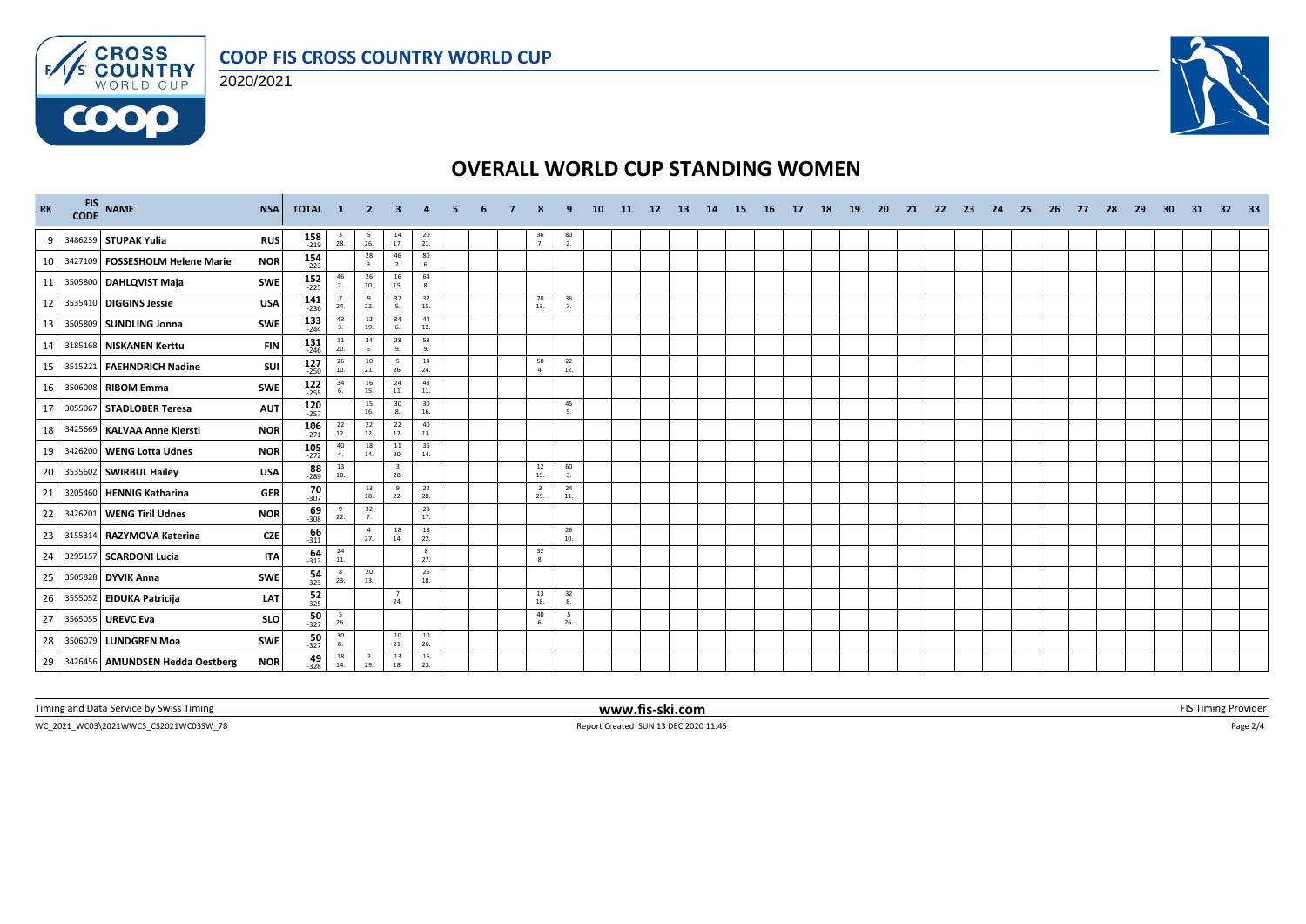





## **OVERALL WORLD CUP STANDING WOMEN**

| <b>RK</b> |         | FIS NAME<br>CODE NAME             | <b>NSA</b> | TOTAL 1              |                                          | - 2                                      | -3                                      | $\overline{\mathbf{4}}$ | -5. | 6 |                       | ٩                                       | 10 | 11 12 13 | 14 | <b>15</b> | 16 17 | - 18 | 19 | -20 | - 21 | 22 | 23 24 | - 25 | - 26 | - 27 | -28 | 29 | 30 | - 31 | 32 33 |  |
|-----------|---------|-----------------------------------|------------|----------------------|------------------------------------------|------------------------------------------|-----------------------------------------|-------------------------|-----|---|-----------------------|-----------------------------------------|----|----------|----|-----------|-------|------|----|-----|------|----|-------|------|------|------|-----|----|----|------|-------|--|
| 9         |         | 3486239 STUPAK Yulia              | <b>RUS</b> | $158$ <sub>219</sub> | $\frac{3}{28}$                           | $\frac{5}{26}$                           | $\frac{14}{17}$                         | 20<br>21.               |     |   | $\frac{36}{7}$        | $\begin{array}{c} 80 \\ 2. \end{array}$ |    |          |    |           |       |      |    |     |      |    |       |      |      |      |     |    |    |      |       |  |
| 10        |         | 3427109   FOSSESHOLM Helene Marie | <b>NOR</b> | $154 \atop 223$      |                                          | 28<br>9.                                 | 46<br>2.                                | 80<br>6.                |     |   |                       |                                         |    |          |    |           |       |      |    |     |      |    |       |      |      |      |     |    |    |      |       |  |
| 11        |         | 3505800 DAHLQVIST Maja            | <b>SWE</b> | $152$<br>-225        | $\frac{46}{2}$                           | $^{26}_{10}$                             | 16<br>15.                               | 64<br>8.                |     |   |                       |                                         |    |          |    |           |       |      |    |     |      |    |       |      |      |      |     |    |    |      |       |  |
| 12        |         | 3535410 DIGGINS Jessie            | <b>USA</b> | $141$ <sub>236</sub> | $\overline{7}$<br>24.                    | 9<br>22.                                 | 37                                      | 32<br>15.               |     |   | 20<br>13.             | 36<br>7.                                |    |          |    |           |       |      |    |     |      |    |       |      |      |      |     |    |    |      |       |  |
| 13        | 3505809 | <b>SUNDLING Jonna</b>             | <b>SWE</b> | $133$ <sub>244</sub> | 43<br>3.                                 | $\begin{array}{c} 12 \\ 19. \end{array}$ | 34<br>6.                                | 44<br>12.               |     |   |                       |                                         |    |          |    |           |       |      |    |     |      |    |       |      |      |      |     |    |    |      |       |  |
| 14        |         | 3185168 NISKANEN Kerttu           | <b>FIN</b> | $131$ <sub>246</sub> | 11<br>20.                                | 34<br>6.                                 | 28<br>9.                                | 58<br>9.                |     |   |                       |                                         |    |          |    |           |       |      |    |     |      |    |       |      |      |      |     |    |    |      |       |  |
| 15        |         | 3515221 FAEHNDRICH Nadine         | SUI        | $127 \atop 250$      | 26<br>10.                                | 10<br>21.                                | - 5<br>26.                              | 14<br>24.               |     |   | 50<br>4.              | 22<br>12.                               |    |          |    |           |       |      |    |     |      |    |       |      |      |      |     |    |    |      |       |  |
| 16        |         | 3506008 RIBOM Emma                | <b>SWE</b> | $122$<br>$255$       | 34                                       | 16<br>15.                                | 24<br>$\bf 11.$                         | 48<br>11.               |     |   |                       |                                         |    |          |    |           |       |      |    |     |      |    |       |      |      |      |     |    |    |      |       |  |
| 17        |         | 3055067 STADLOBER Teresa          | <b>AUT</b> | $120$ <sub>257</sub> |                                          | $\begin{array}{c} 15 \\ 16. \end{array}$ | $\begin{array}{c} 30 \\ 8. \end{array}$ | 30<br>16.               |     |   |                       | 45<br>5.                                |    |          |    |           |       |      |    |     |      |    |       |      |      |      |     |    |    |      |       |  |
| 18        |         | 3425669 KALVAA Anne Kjersti       | <b>NOR</b> | $106 \atop 271$      | $\begin{array}{c} 22 \\ 12 \end{array}$  | 22<br>12.                                | 22<br>12.                               | 40<br>13.               |     |   |                       |                                         |    |          |    |           |       |      |    |     |      |    |       |      |      |      |     |    |    |      |       |  |
| 19        |         | 3426200   WENG Lotta Udnes        | <b>NOR</b> | $105$<br>$-272$      | 40<br>4.                                 | $\begin{array}{c} 18 \\ 14. \end{array}$ | 11<br>20.                               | 36<br>14.               |     |   |                       |                                         |    |          |    |           |       |      |    |     |      |    |       |      |      |      |     |    |    |      |       |  |
| 20        |         | 3535602 SWIRBUL Hailey            | <b>USA</b> | $\frac{88}{289}$     | $\begin{array}{c} 13 \\ 18. \end{array}$ |                                          | 28.                                     |                         |     |   | 12<br>19.             | 60<br>3.                                |    |          |    |           |       |      |    |     |      |    |       |      |      |      |     |    |    |      |       |  |
| 21        |         | 3205460 HENNIG Katharina          | <b>GER</b> | $\frac{70}{307}$     |                                          | 13<br>18.                                | -9<br>22.                               | 22<br>20.               |     |   | $\overline{2}$<br>29. | 24<br>11.                               |    |          |    |           |       |      |    |     |      |    |       |      |      |      |     |    |    |      |       |  |
| 22        |         | 3426201 WENG Tiril Udnes          | <b>NOR</b> | $\frac{69}{308}$     | - 9<br>22.                               | 32<br>7.                                 |                                         | 28<br>17.               |     |   |                       |                                         |    |          |    |           |       |      |    |     |      |    |       |      |      |      |     |    |    |      |       |  |
| 23        |         | 3155314 RAZYMOVA Katerina         | <b>CZE</b> | $\frac{66}{311}$     |                                          | $\overline{4}$<br>27.                    | 18<br>14.                               | 18<br>22.               |     |   |                       | 26<br>10.                               |    |          |    |           |       |      |    |     |      |    |       |      |      |      |     |    |    |      |       |  |
| 24        |         | 3295157 SCARDONI Lucia            | <b>ITA</b> | $\frac{64}{313}$     | $\begin{array}{c} 24 \\ 11. \end{array}$ |                                          |                                         | 8<br>27.                |     |   | 32<br>8.              |                                         |    |          |    |           |       |      |    |     |      |    |       |      |      |      |     |    |    |      |       |  |
| 25        |         | 3505828 DYVIK Anna                | <b>SWE</b> | $\frac{54}{323}$     | 23.                                      | 20<br>13.                                |                                         | 26<br>18.               |     |   |                       |                                         |    |          |    |           |       |      |    |     |      |    |       |      |      |      |     |    |    |      |       |  |
| 26        |         | 3555052 EIDUKA Patricija          | LAT        | 52<br>$-325$         |                                          |                                          | $\overline{7}$<br>24.                   |                         |     |   | 13<br>18.             | 32<br>8.                                |    |          |    |           |       |      |    |     |      |    |       |      |      |      |     |    |    |      |       |  |
| 27        |         | 3565055 UREVC Eva                 | <b>SLO</b> | $\frac{50}{327}$     | $\frac{5}{26}$                           |                                          |                                         |                         |     |   | 40<br>6.              | 5<br>26.                                |    |          |    |           |       |      |    |     |      |    |       |      |      |      |     |    |    |      |       |  |
| 28        |         | 3506079 LUNDGREN Moa              | <b>SWE</b> | $\frac{50}{327}$     | 30<br>8.                                 |                                          | 10<br>21.                               | 10<br>26.               |     |   |                       |                                         |    |          |    |           |       |      |    |     |      |    |       |      |      |      |     |    |    |      |       |  |
| 29        |         | 3426456 AMUNDSEN Hedda Oestberg   | <b>NOR</b> | $49 - 328$           | 18<br>14.                                | $\overline{2}$<br>29.                    | 13<br>18.                               | 16<br>23.               |     |   |                       |                                         |    |          |    |           |       |      |    |     |      |    |       |      |      |      |     |    |    |      |       |  |

Timing and Data Service by Swiss Timing **WWW.fis-ski.com www.fis-ski.com FIS** Timing Provider

 $\textsf{Report Create } \textsf{SUM 13 DEC 2020 11:45} \\ \textsf{Report Create } \textsf{SUM 13 DEC 2020 11:45} \\ \textsf{Property 1:} \\ \textsf{Output} \textsf{Output} \textsf{Output} \textsf{Output} \textsf{Output} \textsf{Output} \textsf{Output} \textsf{Output} \textsf{Output} \textsf{Output} \textsf{Description} \textsf{Output} \textsf{Description} \textsf{Output} \textsf{Description} \textsf{Output} \textsf{Description} \textsf{Description}$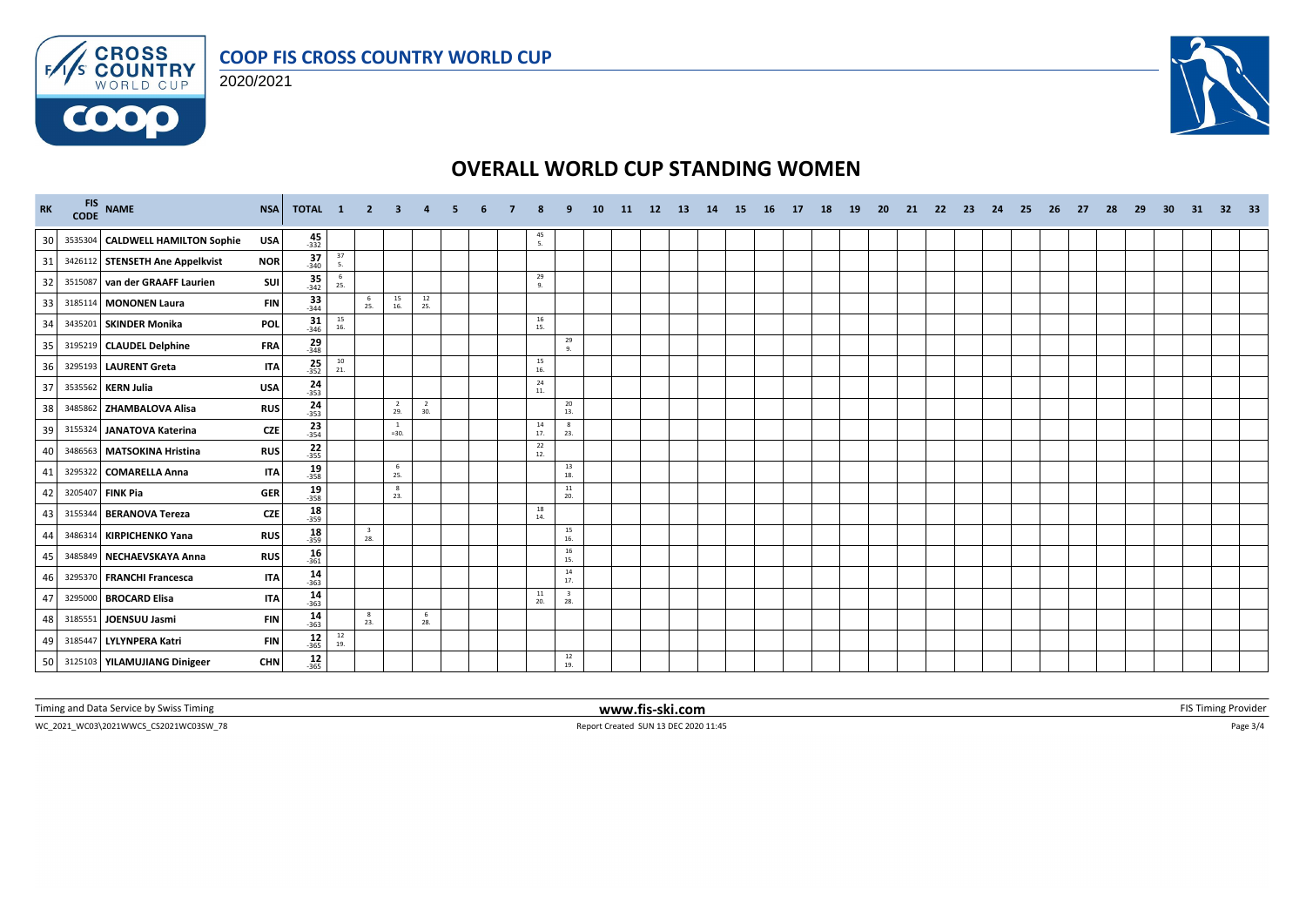

#### **COOP FIS CROSS COUNTRY WORLD CUP**

2020/2021



## **OVERALL WORLD CUP STANDING WOMEN**

| <b>RK</b> |         | FIS NAME<br>CODE NAME            | <b>NSA</b> | TOTAL 1             |                                          | $\overline{2}$                 | 3                      | $\mathbf{A}$          | 5. | 6 | я               | ٩                              | <b>10</b> | 11 | 12 13 | 14 | <b>15</b> | 16 17 | 18 | <b>19</b> | 20 | 21 | - 22 | - 23 | 24 | - 25 | 26 | 27 | 28 | 29 | 30 | 31 | 32 <sub>2</sub> | 33 |
|-----------|---------|----------------------------------|------------|---------------------|------------------------------------------|--------------------------------|------------------------|-----------------------|----|---|-----------------|--------------------------------|-----------|----|-------|----|-----------|-------|----|-----------|----|----|------|------|----|------|----|----|----|----|----|----|-----------------|----|
| 30        |         | 3535304 CALDWELL HAMILTON Sophie | <b>USA</b> | $45 - 332$          |                                          |                                |                        |                       |    |   | 45<br>5.        |                                |           |    |       |    |           |       |    |           |    |    |      |      |    |      |    |    |    |    |    |    |                 |    |
| 31        |         | 3426112 STENSETH Ane Appelkvist  | <b>NOR</b> | $37 - 340$          | $\frac{37}{5}$                           |                                |                        |                       |    |   |                 |                                |           |    |       |    |           |       |    |           |    |    |      |      |    |      |    |    |    |    |    |    |                 |    |
| 32        |         | 3515087 van der GRAAFF Laurien   | SUI        | $35 - 342$          | 6<br>25.                                 |                                |                        |                       |    |   | 29<br>9.        |                                |           |    |       |    |           |       |    |           |    |    |      |      |    |      |    |    |    |    |    |    |                 |    |
| 33        |         | 3185114 MONONEN Laura            | <b>FIN</b> | 33<br>$-344$        |                                          | 6<br>25.                       | 15<br>16.              | 12<br>25.             |    |   |                 |                                |           |    |       |    |           |       |    |           |    |    |      |      |    |      |    |    |    |    |    |    |                 |    |
| 34        |         | 3435201 SKINDER Monika           | POL        | $\frac{31}{346}$    | $\begin{array}{c} 15 \\ 16. \end{array}$ |                                |                        |                       |    |   | $\frac{16}{15}$ |                                |           |    |       |    |           |       |    |           |    |    |      |      |    |      |    |    |    |    |    |    |                 |    |
| 35        |         | 3195219 CLAUDEL Delphine         | FRA        | $29 - 348$          |                                          |                                |                        |                       |    |   |                 | 29<br>9.                       |           |    |       |    |           |       |    |           |    |    |      |      |    |      |    |    |    |    |    |    |                 |    |
| 36        |         | 3295193 LAURENT Greta            | <b>ITA</b> | $25 - 352$          | $10\,$<br>21.                            |                                |                        |                       |    |   | 15<br>16.       |                                |           |    |       |    |           |       |    |           |    |    |      |      |    |      |    |    |    |    |    |    |                 |    |
| 37        |         | 3535562 KERN Julia               | <b>USA</b> | $\frac{24}{353}$    |                                          |                                |                        |                       |    |   | 24<br>11.       |                                |           |    |       |    |           |       |    |           |    |    |      |      |    |      |    |    |    |    |    |    |                 |    |
| 38        |         | 3485862 ZHAMBALOVA Alisa         | <b>RUS</b> | $24 - 353$          |                                          |                                | $\overline{2}$<br>29.  | $\overline{2}$<br>30. |    |   |                 | 20<br>13.                      |           |    |       |    |           |       |    |           |    |    |      |      |    |      |    |    |    |    |    |    |                 |    |
| 39        | 3155324 | JANATOVA Katerina                | <b>CZE</b> | $\frac{23}{354}$    |                                          |                                | <sup>1</sup><br>$=30.$ |                       |    |   | 14<br>17.       | 8<br>23.                       |           |    |       |    |           |       |    |           |    |    |      |      |    |      |    |    |    |    |    |    |                 |    |
| 40        |         | 3486563 MATSOKINA Hristina       | <b>RUS</b> | $22$<br>-355        |                                          |                                |                        |                       |    |   | 22<br>12.       |                                |           |    |       |    |           |       |    |           |    |    |      |      |    |      |    |    |    |    |    |    |                 |    |
| 41        |         | 3295322 COMARELLA Anna           | <b>ITA</b> | $19 - 358$          |                                          |                                | -6<br>25.              |                       |    |   |                 | 13<br>18.                      |           |    |       |    |           |       |    |           |    |    |      |      |    |      |    |    |    |    |    |    |                 |    |
| 42        | 320540  | <b>FINK Pia</b>                  | <b>GER</b> | $\frac{19}{358}$    |                                          |                                | -8<br>23.              |                       |    |   |                 | 11<br>20.                      |           |    |       |    |           |       |    |           |    |    |      |      |    |      |    |    |    |    |    |    |                 |    |
| 43        |         | 3155344 BERANOVA Tereza          | <b>CZE</b> | $18 - 359$          |                                          |                                |                        |                       |    |   | 18<br>14.       |                                |           |    |       |    |           |       |    |           |    |    |      |      |    |      |    |    |    |    |    |    |                 |    |
| 44        |         | 3486314 KIRPICHENKO Yana         | <b>RUS</b> | $18 - 359$          |                                          | $\overline{\mathbf{3}}$<br>28. |                        |                       |    |   |                 | 15<br>16.                      |           |    |       |    |           |       |    |           |    |    |      |      |    |      |    |    |    |    |    |    |                 |    |
| 45        |         | 3485849 NECHAEVSKAYA Anna        | <b>RUS</b> | $16 - 361$          |                                          |                                |                        |                       |    |   |                 | 16<br>15.                      |           |    |       |    |           |       |    |           |    |    |      |      |    |      |    |    |    |    |    |    |                 |    |
| 46        |         | 3295370 FRANCHI Francesca        | <b>ITA</b> | $14$ <sub>363</sub> |                                          |                                |                        |                       |    |   |                 | 14<br>17.                      |           |    |       |    |           |       |    |           |    |    |      |      |    |      |    |    |    |    |    |    |                 |    |
| 47        |         | 3295000 BROCARD Elisa            | <b>ITA</b> | 14<br>$-363$        |                                          |                                |                        |                       |    |   | 11<br>20.       | $\overline{\mathbf{3}}$<br>28. |           |    |       |    |           |       |    |           |    |    |      |      |    |      |    |    |    |    |    |    |                 |    |
| 48        | 3185551 | JOENSUU Jasmi                    | <b>FIN</b> | $14 \over 363$      |                                          | 8<br>23.                       |                        | - 6<br>28.            |    |   |                 |                                |           |    |       |    |           |       |    |           |    |    |      |      |    |      |    |    |    |    |    |    |                 |    |
| 49        |         | 3185447 LYLYNPERA Katri          | <b>FIN</b> | $12$<br>-365        | $\frac{12}{19}$                          |                                |                        |                       |    |   |                 |                                |           |    |       |    |           |       |    |           |    |    |      |      |    |      |    |    |    |    |    |    |                 |    |
| 50        |         | 3125103   YILAMUJIANG Dinigeer   | <b>CHN</b> | $12 - 365$          |                                          |                                |                        |                       |    |   |                 | 12<br>19.                      |           |    |       |    |           |       |    |           |    |    |      |      |    |      |    |    |    |    |    |    |                 |    |

Timing and Data Service by Swiss Timing **WWW.fis-ski.com www.fis-ski.com FIS** Timing Provider

 $\textsf{Report Create } \textsf{SUM 13 DEC 2020 11:45} \\ \textsf{Report Create } \textsf{SUM 13 DEC 2020 11:45} \\ \textsf{Property 1:} \\ \textsf{Output} \textsf{Output} \textsf{Output} \textsf{Output} \textsf{Output} \textsf{Output} \textsf{Output} \textsf{Output} \textsf{Output} \textsf{Output} \textsf{Description} \textsf{Output} \textsf{Description} \textsf{Output} \textsf{Description} \textsf{Output} \textsf{Description} \textsf{Description}$